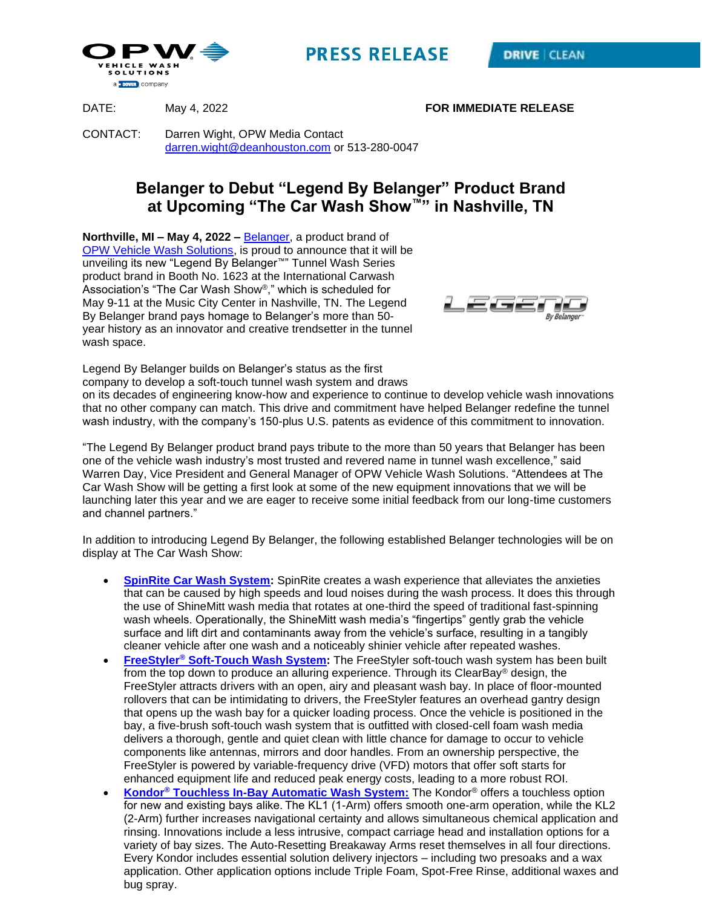



**PRESS RELEASE** 

DATE: May 4, 2022 **FOR IMMEDIATE RELEASE** 

CONTACT: Darren Wight, OPW Media Contact [darren.wight@deanhouston.com](mailto:darren.wight@deanhouston.com) or 513-280-0047

## **Belanger to Debut "Legend By Belanger" Product Brand at Upcoming "The Car Wash Show™" in Nashville, TN**

**Northville, MI – May 4, 2022 –** [Belanger,](https://www.opwvws.com/brands/belanger.html) a product brand of [OPW Vehicle Wash Solutions,](https://www.opwvws.com/) is proud to announce that it will be unveiling its new "Legend By Belanger™" Tunnel Wash Series product brand in Booth No. 1623 at the International Carwash Association's "The Car Wash Show®," which is scheduled for May 9-11 at the Music City Center in Nashville, TN. The Legend By Belanger brand pays homage to Belanger's more than 50 year history as an innovator and creative trendsetter in the tunnel wash space.



Legend By Belanger builds on Belanger's status as the first company to develop a soft-touch tunnel wash system and draws

on its decades of engineering know-how and experience to continue to develop vehicle wash innovations that no other company can match. This drive and commitment have helped Belanger redefine the tunnel wash industry, with the company's 150-plus U.S. patents as evidence of this commitment to innovation.

"The Legend By Belanger product brand pays tribute to the more than 50 years that Belanger has been one of the vehicle wash industry's most trusted and revered name in tunnel wash excellence," said Warren Day, Vice President and General Manager of OPW Vehicle Wash Solutions. "Attendees at The Car Wash Show will be getting a first look at some of the new equipment innovations that we will be launching later this year and we are eager to receive some initial feedback from our long-time customers and channel partners."

In addition to introducing Legend By Belanger, the following established Belanger technologies will be on display at The Car Wash Show:

- **[SpinRite Car Wash System:](https://www.opwvws.com/products/belanger-products/car-wash-equipment/spinrite.html)** SpinRite creates a wash experience that alleviates the anxieties that can be caused by high speeds and loud noises during the wash process. It does this through the use of ShineMitt wash media that rotates at one-third the speed of traditional fast-spinning wash wheels. Operationally, the ShineMitt wash media's "fingertips" gently grab the vehicle surface and lift dirt and contaminants away from the vehicle's surface, resulting in a tangibly cleaner vehicle after one wash and a noticeably shinier vehicle after repeated washes.
- **FreeStyler® [Soft-Touch Wash System:](https://www.opwvws.com/products/belanger-products/car-wash-equipment/freestyler.html)** The FreeStyler soft-touch wash system has been built from the top down to produce an alluring experience. Through its ClearBay® design, the FreeStyler attracts drivers with an open, airy and pleasant wash bay. In place of floor-mounted rollovers that can be intimidating to drivers, the FreeStyler features an overhead gantry design that opens up the wash bay for a quicker loading process. Once the vehicle is positioned in the bay, a five-brush soft-touch wash system that is outfitted with closed-cell foam wash media delivers a thorough, gentle and quiet clean with little chance for damage to occur to vehicle components like antennas, mirrors and door handles. From an ownership perspective, the FreeStyler is powered by variable-frequency drive (VFD) motors that offer soft starts for enhanced equipment life and reduced peak energy costs, leading to a more robust ROI.
- **Kondor® [Touchless In-Bay Automatic Wash System:](https://www.opwvws.com/products/belanger-products/car-wash-equipment/kondor.html)** The Kondor® offers a touchless option for new and existing bays alike. The KL1 (1-Arm) offers smooth one-arm operation, while the KL2 (2-Arm) further increases navigational certainty and allows simultaneous chemical application and rinsing. Innovations include a less intrusive, compact carriage head and installation options for a variety of bay sizes. The Auto-Resetting Breakaway Arms reset themselves in all four directions. Every Kondor includes essential solution delivery injectors – including two presoaks and a wax application. Other application options include Triple Foam, Spot-Free Rinse, additional waxes and bug spray.